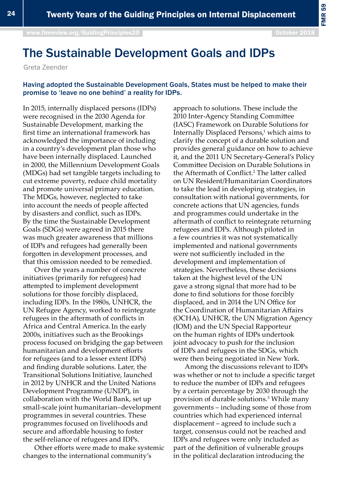[www.fmreview.org/GuidingPrinciples20](http://www.fmreview.org/dayton20
) **October 2018** October 2018

# The Sustainable Development Goals and IDPs

Greta Zeender

# Having adopted the Sustainable Development Goals, States must be helped to make their promise to 'leave no one behind' a reality for IDPs.

In 2015, internally displaced persons (IDPs) were recognised in the 2030 Agenda for Sustainable Development, marking the first time an international framework has acknowledged the importance of including in a country's development plan those who have been internally displaced. Launched in 2000, the Millennium Development Goals (MDGs) had set tangible targets including to cut extreme poverty, reduce child mortality and promote universal primary education. The MDGs, however, neglected to take into account the needs of people affected by disasters and conflict, such as IDPs. By the time the Sustainable Development Goals (SDGs) were agreed in 2015 there was much greater awareness that millions of IDPs and refugees had generally been forgotten in development processes, and that this omission needed to be remedied.

Over the years a number of concrete initiatives (primarily for refugees) had attempted to implement development solutions for those forcibly displaced, including IDPs. In the 1980s, UNHCR, the UN Refugee Agency, worked to reintegrate refugees in the aftermath of conflicts in Africa and Central America.In the early 2000s, initiatives such as the Brookings process focused on bridging the gap between humanitarian and development efforts for refugees (and to a lesser extent IDPs) and finding durable solutions. Later, the Transitional Solutions Initiative, launched in 2012 by UNHCR and the United Nations Development Programme (UNDP), in collaboration with the World Bank, set up small-scale joint humanitarian–development programmes in several countries. These programmes focused on livelihoods and secure and affordable housing to foster the self-reliance of refugees and IDPs.

Other efforts were made to make systemic changes to the international community's

approach to solutions. These include the 2010 Inter-Agency Standing Committee (IASC) Framework on Durable Solutions for Internally Displaced Persons,<sup>1</sup> which aims to clarify the concept of a durable solution and provides general guidance on how to achieve it, and the 2011 UN Secretary-General's Policy Committee Decision on Durable Solutions in the Aftermath of Conflict.<sup>2</sup> The latter called on UN Resident/Humanitarian Coordinators to take the lead in developing strategies, in consultation with national governments, for concrete actions that UN agencies, funds and programmes could undertake in the aftermath of conflict to reintegrate returning refugees and IDPs. Although piloted in a few countries it was not systematically implemented and national governments were not sufficiently included in the development and implementation of strategies. Nevertheless, these decisions taken at the highest level of the UN gave a strong signal that more had to be done to find solutions for those forcibly displaced, and in 2014 the UN Office for the Coordination of Humanitarian Affairs (OCHA), UNHCR, the UN Migration Agency (IOM) and the UN Special Rapporteur on the human rights of IDPs undertook joint advocacy to push for the inclusion of IDPs and refugees in the SDGs, which were then being negotiated in New York.

Among the discussions relevant to IDPs was whether or not to include a specific target to reduce the number of IDPs and refugees by a certain percentage by 2030 through the provision of durable solutions.<sup>3</sup> While many governments – including some of those from countries which had experienced internal displacement – agreed to include such a target, consensus could not be reached and IDPs and refugees were only included as part of the definition of vulnerable groups in the political declaration introducing the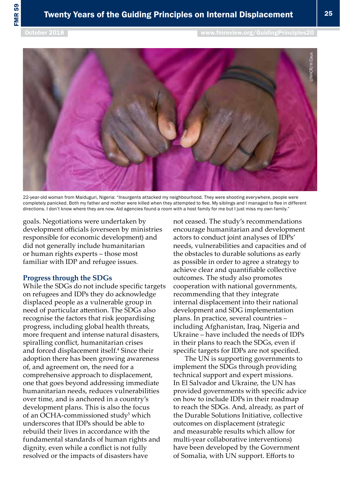

22-year-old woman from Maiduguri, Nigeria: "Insurgents attacked my neighbourhood. They were shooting everywhere, people were completely panicked. Both my father and mother were killed when they attempted to flee. My siblings and I managed to flee in different directions. I don't know where they are now. Aid agencies found a room with a host family for me but I just miss my own family."

goals. Negotiations were undertaken by development officials (overseen by ministries responsible for economic development) and did not generally include humanitarian or human rights experts – those most familiar with IDP and refugee issues.

## **Progress through the SDGs**

While the SDGs do not include specific targets on refugees and IDPs they do acknowledge displaced people as a vulnerable group in need of particular attention. The SDGs also recognise the factors that risk jeopardising progress, including global health threats, more frequent and intense natural disasters, spiralling conflict, humanitarian crises and forced displacement itself.4 Since their adoption there has been growing awareness of, and agreement on, the need for a comprehensive approach to displacement, one that goes beyond addressing immediate humanitarian needs, reduces vulnerabilities over time, and is anchored in a country's development plans. This is also the focus of an OCHA-commissioned study<sup>5</sup> which underscores that IDPs should be able to rebuild their lives in accordance with the fundamental standards of human rights and dignity, even while a conflict is not fully resolved or the impacts of disasters have

not ceased. The study's recommendations encourage humanitarian and development actors to conduct joint analyses of IDPs' needs, vulnerabilities and capacities and of the obstacles to durable solutions as early as possible in order to agree a strategy to achieve clear and quantifiable collective outcomes. The study also promotes cooperation with national governments, recommending that they integrate internal displacement into their national development and SDG implementation plans. In practice, several countries – including Afghanistan, Iraq, Nigeria and Ukraine – have included the needs of IDPs in their plans to reach the SDGs, even if specific targets for IDPs are not specified.

The UN is supporting governments to implement the SDGs through providing technical support and expert missions. In El Salvador and Ukraine, the UN has provided governments with specific advice on how to include IDPs in their roadmap to reach the SDGs. And, already, as part of the Durable Solutions Initiative, collective outcomes on displacement (strategic and measurable results which allow for multi-year collaborative interventions) have been developed by the Government of Somalia, with UN support. Efforts to